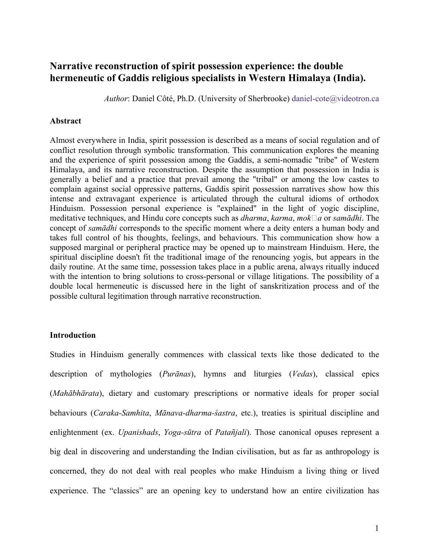# Narrative reconstruction of spirit possession experience: the double hermeneutic of Gaddis religious specialists in Western Himalaya (India).

Author: Daniel Côté, Ph.D. (University of Sherbrooke) daniel-cote@videotron.ca

#### Abstract

Almost everywhere in India, spirit possession is described as a means of social regulation and of conflict resolution through symbolic transformation. This communication explores the meaning and the experience of spirit possession among the Gaddis, a semi-nomadic "tribe" of Western Himalaya, and its narrative reconstruction. Despite the assumption that possession in India is generally a belief and a practice that prevail among the "tribal" or among the low castes to complain against social oppressive patterns, Gaddis spirit possession narratives show how this intense and extravagant experience is articulated through the cultural idioms of orthodox Hinduism. Possession personal experience is "explained" in the light of yogic discipline, meditative techniques, and Hindu core concepts such as *dharma, karma, mok* $\Box a$  or *samādhi*. The concept of samādhi corresponds to the specific moment where a deity enters a human body and takes full control of his thoughts, feelings, and behaviours. This communication show how a supposed marginal or peripheral practice may be opened up to mainstream Hinduism. Here, the spiritual discipline doesn't fit the traditional image of the renouncing yogis, but appears in the daily routine. At the same time, possession takes place in a public arena, always ritually induced with the intention to bring solutions to cross-personal or village litigations. The possibility of a double local hermeneutic is discussed here in the light of sanskritization process and of the possible cultural legitimation through narrative reconstruction.

### **Introduction**

Studies in Hinduism generally commences with classical texts like those dedicated to the description of mythologies (Purānas), hymns and liturgies (Vedas), classical epics (Mahābhārata), dietary and customary prescriptions or normative ideals for proper social behaviours (Caraka-Samhita, Mānava-dharma-śastra, etc.), treaties is spiritual discipline and enlightenment (ex. *Upanishads, Yoga-sūtra* of *Patañjali*). Those canonical opuses represent a big deal in discovering and understanding the Indian civilisation, but as far as anthropology is concerned, they do not deal with real peoples who make Hinduism a living thing or lived experience. The "classics" are an opening key to understand how an entire civilization has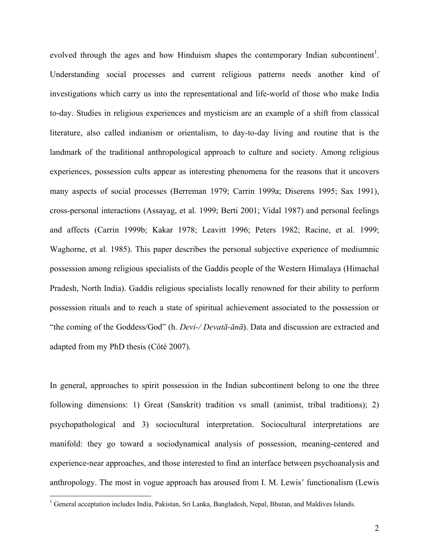evolved through the ages and how Hinduism shapes the contemporary Indian subcontinent<sup>1</sup>. Understanding social processes and current religious patterns needs another kind of investigations which carry us into the representational and life-world of those who make India to-day. Studies in religious experiences and mysticism are an example of a shift from classical literature, also called indianism or orientalism, to day-to-day living and routine that is the landmark of the traditional anthropological approach to culture and society. Among religious experiences, possession cults appear as interesting phenomena for the reasons that it uncovers many aspects of social processes (Berreman 1979; Carrin 1999a; Diserens 1995; Sax 1991), cross-personal interactions (Assayag, et al. 1999; Berti 2001; Vidal 1987) and personal feelings and affects (Carrin 1999b; Kakar 1978; Leavitt 1996; Peters 1982; Racine, et al. 1999; Waghorne, et al. 1985). This paper describes the personal subjective experience of mediumnic possession among religious specialists of the Gaddis people of the Western Himalaya (Himachal Pradesh, North India). Gaddis religious specialists locally renowned for their ability to perform possession rituals and to reach a state of spiritual achievement associated to the possession or "the coming of the Goddess/God" (h. *Devi-/ Devatā-ānā*). Data and discussion are extracted and adapted from my PhD thesis (Côté 2007).

In general, approaches to spirit possession in the Indian subcontinent belong to one the three following dimensions: 1) Great (Sanskrit) tradition vs small (animist, tribal traditions); 2) psychopathological and 3) sociocultural interpretation. Sociocultural interpretations are manifold: they go toward a sociodynamical analysis of possession, meaning-centered and experience-near approaches, and those interested to find an interface between psychoanalysis and anthropology. The most in vogue approach has aroused from I. M. Lewis' functionalism (Lewis

<u>.</u>

<sup>&</sup>lt;sup>1</sup> General acceptation includes India, Pakistan, Sri Lanka, Bangladesh, Nepal, Bhutan, and Maldives Islands.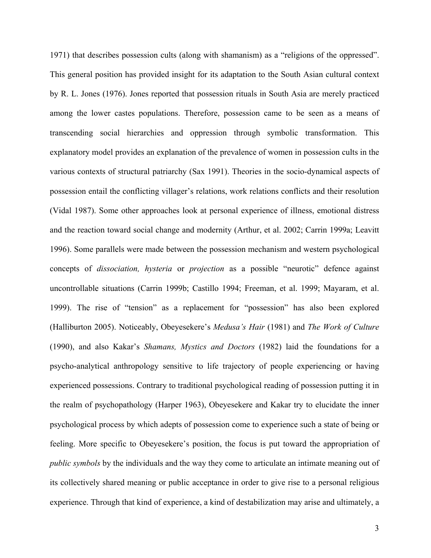1971) that describes possession cults (along with shamanism) as a "religions of the oppressed". This general position has provided insight for its adaptation to the South Asian cultural context by R. L. Jones (1976). Jones reported that possession rituals in South Asia are merely practiced among the lower castes populations. Therefore, possession came to be seen as a means of transcending social hierarchies and oppression through symbolic transformation. This explanatory model provides an explanation of the prevalence of women in possession cults in the various contexts of structural patriarchy (Sax 1991). Theories in the socio-dynamical aspects of possession entail the conflicting villager's relations, work relations conflicts and their resolution (Vidal 1987). Some other approaches look at personal experience of illness, emotional distress and the reaction toward social change and modernity (Arthur, et al. 2002; Carrin 1999a; Leavitt 1996). Some parallels were made between the possession mechanism and western psychological concepts of dissociation, hysteria or projection as a possible "neurotic" defence against uncontrollable situations (Carrin 1999b; Castillo 1994; Freeman, et al. 1999; Mayaram, et al. 1999). The rise of "tension" as a replacement for "possession" has also been explored (Halliburton 2005). Noticeably, Obeyesekere's Medusa's Hair (1981) and The Work of Culture (1990), and also Kakar's Shamans, Mystics and Doctors (1982) laid the foundations for a psycho-analytical anthropology sensitive to life trajectory of people experiencing or having experienced possessions. Contrary to traditional psychological reading of possession putting it in the realm of psychopathology (Harper 1963), Obeyesekere and Kakar try to elucidate the inner psychological process by which adepts of possession come to experience such a state of being or feeling. More specific to Obeyesekere's position, the focus is put toward the appropriation of public symbols by the individuals and the way they come to articulate an intimate meaning out of its collectively shared meaning or public acceptance in order to give rise to a personal religious experience. Through that kind of experience, a kind of destabilization may arise and ultimately, a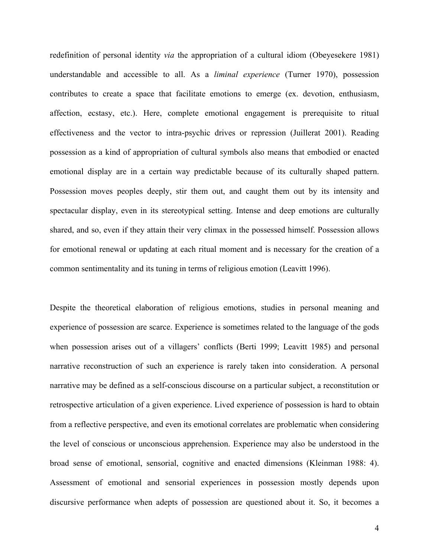redefinition of personal identity *via* the appropriation of a cultural idiom (Obeyesekere 1981) understandable and accessible to all. As a liminal experience (Turner 1970), possession contributes to create a space that facilitate emotions to emerge (ex. devotion, enthusiasm, affection, ecstasy, etc.). Here, complete emotional engagement is prerequisite to ritual effectiveness and the vector to intra-psychic drives or repression (Juillerat 2001). Reading possession as a kind of appropriation of cultural symbols also means that embodied or enacted emotional display are in a certain way predictable because of its culturally shaped pattern. Possession moves peoples deeply, stir them out, and caught them out by its intensity and spectacular display, even in its stereotypical setting. Intense and deep emotions are culturally shared, and so, even if they attain their very climax in the possessed himself. Possession allows for emotional renewal or updating at each ritual moment and is necessary for the creation of a common sentimentality and its tuning in terms of religious emotion (Leavitt 1996).

Despite the theoretical elaboration of religious emotions, studies in personal meaning and experience of possession are scarce. Experience is sometimes related to the language of the gods when possession arises out of a villagers' conflicts (Berti 1999; Leavitt 1985) and personal narrative reconstruction of such an experience is rarely taken into consideration. A personal narrative may be defined as a self-conscious discourse on a particular subject, a reconstitution or retrospective articulation of a given experience. Lived experience of possession is hard to obtain from a reflective perspective, and even its emotional correlates are problematic when considering the level of conscious or unconscious apprehension. Experience may also be understood in the broad sense of emotional, sensorial, cognitive and enacted dimensions (Kleinman 1988: 4). Assessment of emotional and sensorial experiences in possession mostly depends upon discursive performance when adepts of possession are questioned about it. So, it becomes a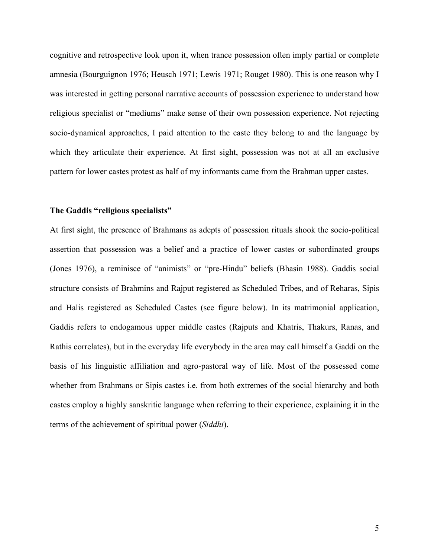cognitive and retrospective look upon it, when trance possession often imply partial or complete amnesia (Bourguignon 1976; Heusch 1971; Lewis 1971; Rouget 1980). This is one reason why I was interested in getting personal narrative accounts of possession experience to understand how religious specialist or "mediums" make sense of their own possession experience. Not rejecting socio-dynamical approaches, I paid attention to the caste they belong to and the language by which they articulate their experience. At first sight, possession was not at all an exclusive pattern for lower castes protest as half of my informants came from the Brahman upper castes.

### The Gaddis "religious specialists"

At first sight, the presence of Brahmans as adepts of possession rituals shook the socio-political assertion that possession was a belief and a practice of lower castes or subordinated groups (Jones 1976), a reminisce of "animists" or "pre-Hindu" beliefs (Bhasin 1988). Gaddis social structure consists of Brahmins and Rajput registered as Scheduled Tribes, and of Reharas, Sipis and Halis registered as Scheduled Castes (see figure below). In its matrimonial application, Gaddis refers to endogamous upper middle castes (Rajputs and Khatris, Thakurs, Ranas, and Rathis correlates), but in the everyday life everybody in the area may call himself a Gaddi on the basis of his linguistic affiliation and agro-pastoral way of life. Most of the possessed come whether from Brahmans or Sipis castes i.e. from both extremes of the social hierarchy and both castes employ a highly sanskritic language when referring to their experience, explaining it in the terms of the achievement of spiritual power (Siddhi).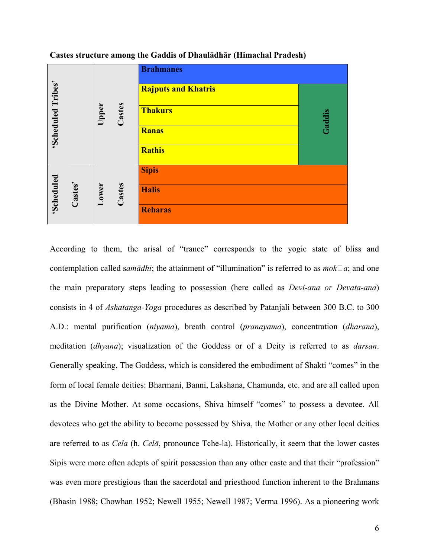



According to them, the arisal of "trance" corresponds to the yogic state of bliss and contemplation called sam $\bar{a}$ dhi; the attainment of "illumination" is referred to as  $m \circ k \Box a$ ; and one the main preparatory steps leading to possession (here called as Devi-ana or Devata-ana) consists in 4 of Ashatanga-Yoga procedures as described by Patanjali between 300 B.C. to 300 A.D.: mental purification (niyama), breath control (pranayama), concentration (dharana), meditation (*dhyana*); visualization of the Goddess or of a Deity is referred to as *darsan*. Generally speaking, The Goddess, which is considered the embodiment of Shakti "comes" in the form of local female deities: Bharmani, Banni, Lakshana, Chamunda, etc. and are all called upon as the Divine Mother. At some occasions, Shiva himself "comes" to possess a devotee. All devotees who get the ability to become possessed by Shiva, the Mother or any other local deities are referred to as Cela (h. Celā, pronounce Tche-la). Historically, it seem that the lower castes Sipis were more often adepts of spirit possession than any other caste and that their "profession" was even more prestigious than the sacerdotal and priesthood function inherent to the Brahmans (Bhasin 1988; Chowhan 1952; Newell 1955; Newell 1987; Verma 1996). As a pioneering work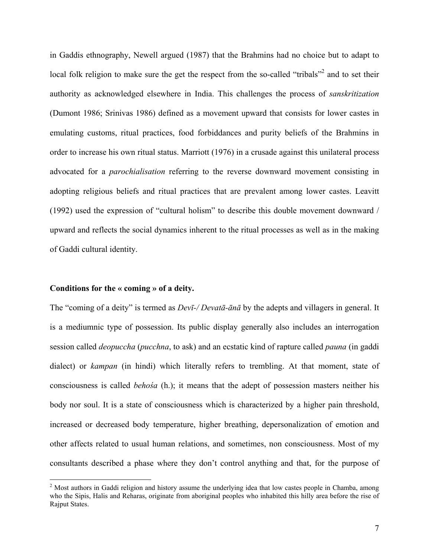in Gaddis ethnography, Newell argued (1987) that the Brahmins had no choice but to adapt to local folk religion to make sure the get the respect from the so-called "tribals"<sup>2</sup> and to set their authority as acknowledged elsewhere in India. This challenges the process of sanskritization (Dumont 1986; Srinivas 1986) defined as a movement upward that consists for lower castes in emulating customs, ritual practices, food forbiddances and purity beliefs of the Brahmins in order to increase his own ritual status. Marriott (1976) in a crusade against this unilateral process advocated for a parochialisation referring to the reverse downward movement consisting in adopting religious beliefs and ritual practices that are prevalent among lower castes. Leavitt (1992) used the expression of "cultural holism" to describe this double movement downward / upward and reflects the social dynamics inherent to the ritual processes as well as in the making of Gaddi cultural identity.

#### Conditions for the « coming » of a deity.

The "coming of a deity" is termed as *Devī-/ Devatā-ānā* by the adepts and villagers in general. It is a mediumnic type of possession. Its public display generally also includes an interrogation session called *deopuccha* (pucchna, to ask) and an ecstatic kind of rapture called *pauna* (in gaddi dialect) or *kampan* (in hindi) which literally refers to trembling. At that moment, state of consciousness is called behośa (h.); it means that the adept of possession masters neither his body nor soul. It is a state of consciousness which is characterized by a higher pain threshold, increased or decreased body temperature, higher breathing, depersonalization of emotion and other affects related to usual human relations, and sometimes, non consciousness. Most of my consultants described a phase where they don't control anything and that, for the purpose of

<sup>&</sup>lt;sup>2</sup> Most authors in Gaddi religion and history assume the underlying idea that low castes people in Chamba, among who the Sipis, Halis and Reharas, originate from aboriginal peoples who inhabited this hilly area before the rise of Rajput States.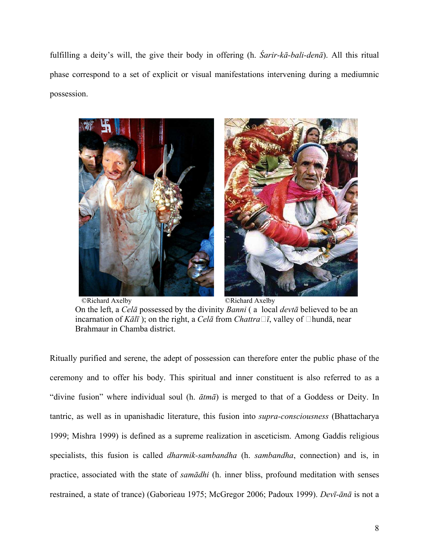fulfilling a deity's will, the give their body in offering (h.  $\hat{S}arir-k\bar{a}-bali-den\bar{a}$ ). All this ritual phase correspond to a set of explicit or visual manifestations intervening during a mediumnic possession.



©Richard Axelby ©Richard Axelby On the left, a Celā possessed by the divinity Banni ( a local devtā believed to be an incarnation of Kālī); on the right, a Celā from Chattra $\Box$ ī, valley of  $\Box$ hundā, near Brahmaur in Chamba district.

Ritually purified and serene, the adept of possession can therefore enter the public phase of the ceremony and to offer his body. This spiritual and inner constituent is also referred to as a "divine fusion" where individual soul (h.  $\bar{a}$ tma) is merged to that of a Goddess or Deity. In tantric, as well as in upanishadic literature, this fusion into supra-consciousness (Bhattacharya 1999; Mishra 1999) is defined as a supreme realization in asceticism. Among Gaddis religious specialists, this fusion is called *dharmik-sambandha* (h. *sambandha*, connection) and is, in practice, associated with the state of samādhi (h. inner bliss, profound meditation with senses restrained, a state of trance) (Gaborieau 1975; McGregor 2006; Padoux 1999). Devī-ānā is not a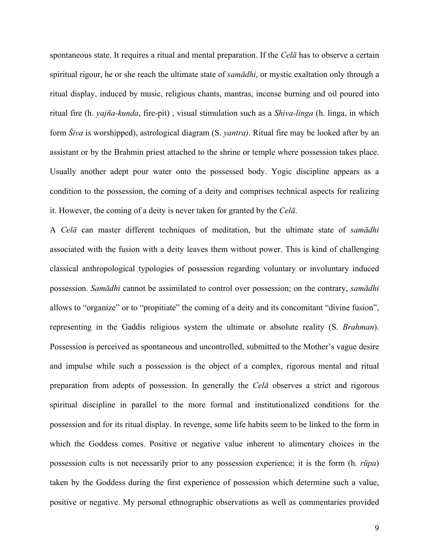spontaneous state. It requires a ritual and mental preparation. If the Cela has to observe a certain spiritual rigour, he or she reach the ultimate state of *samādhi*, or mystic exaltation only through a ritual display, induced by music, religious chants, mantras, incense burning and oil poured into ritual fire (h. yajña-kunda, fire-pit) , visual stimulation such as a Shiva-linga (h. linga, in which form *Śiva* is worshipped), astrological diagram (S. *yantra*). Ritual fire may be looked after by an assistant or by the Brahmin priest attached to the shrine or temple where possession takes place. Usually another adept pour water onto the possessed body. Yogic discipline appears as a condition to the possession, the coming of a deity and comprises technical aspects for realizing it. However, the coming of a deity is never taken for granted by the Celā.

A Celā can master different techniques of meditation, but the ultimate state of samādhi associated with the fusion with a deity leaves them without power. This is kind of challenging classical anthropological typologies of possession regarding voluntary or involuntary induced possession. Samādhi cannot be assimilated to control over possession; on the contrary, samādhi allows to "organize" or to "propitiate" the coming of a deity and its concomitant "divine fusion", representing in the Gaddis religious system the ultimate or absolute reality (S. Brahman). Possession is perceived as spontaneous and uncontrolled, submitted to the Mother's vague desire and impulse while such a possession is the object of a complex, rigorous mental and ritual preparation from adepts of possession. In generally the Celā observes a strict and rigorous spiritual discipline in parallel to the more formal and institutionalized conditions for the possession and for its ritual display. In revenge, some life habits seem to be linked to the form in which the Goddess comes. Positive or negative value inherent to alimentary choices in the possession cults is not necessarily prior to any possession experience; it is the form (h. rūpa) taken by the Goddess during the first experience of possession which determine such a value, positive or negative. My personal ethnographic observations as well as commentaries provided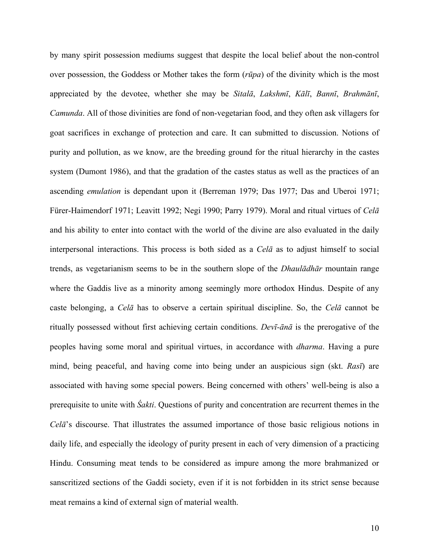by many spirit possession mediums suggest that despite the local belief about the non-control over possession, the Goddess or Mother takes the form  $(r\bar{u}pa)$  of the divinity which is the most appreciated by the devotee, whether she may be Sitalā, Lakshmī, Kālī, Bannī, Brahmānī, Camunda. All of those divinities are fond of non-vegetarian food, and they often ask villagers for goat sacrifices in exchange of protection and care. It can submitted to discussion. Notions of purity and pollution, as we know, are the breeding ground for the ritual hierarchy in the castes system (Dumont 1986), and that the gradation of the castes status as well as the practices of an ascending emulation is dependant upon it (Berreman 1979; Das 1977; Das and Uberoi 1971; Fürer-Haimendorf 1971; Leavitt 1992; Negi 1990; Parry 1979). Moral and ritual virtues of Celā and his ability to enter into contact with the world of the divine are also evaluated in the daily interpersonal interactions. This process is both sided as a Celā as to adjust himself to social trends, as vegetarianism seems to be in the southern slope of the Dhaulādhār mountain range where the Gaddis live as a minority among seemingly more orthodox Hindus. Despite of any caste belonging, a Celā has to observe a certain spiritual discipline. So, the Celā cannot be ritually possessed without first achieving certain conditions. Devī-ānā is the prerogative of the peoples having some moral and spiritual virtues, in accordance with dharma. Having a pure mind, being peaceful, and having come into being under an auspicious sign (skt. Rasī) are associated with having some special powers. Being concerned with others' well-being is also a prerequisite to unite with *Śakti*. Questions of purity and concentration are recurrent themes in the Celā's discourse. That illustrates the assumed importance of those basic religious notions in daily life, and especially the ideology of purity present in each of very dimension of a practicing Hindu. Consuming meat tends to be considered as impure among the more brahmanized or sanscritized sections of the Gaddi society, even if it is not forbidden in its strict sense because meat remains a kind of external sign of material wealth.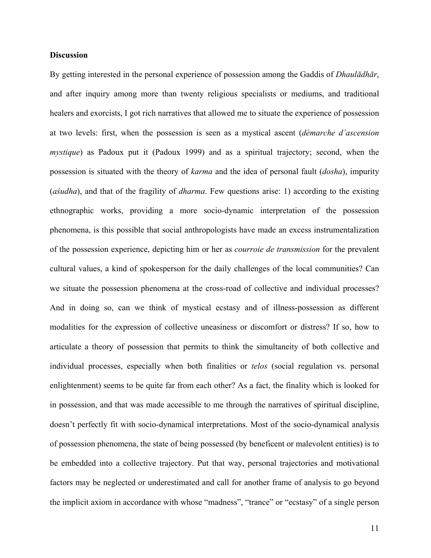### **Discussion**

By getting interested in the personal experience of possession among the Gaddis of *Dhaulādhār*, and after inquiry among more than twenty religious specialists or mediums, and traditional healers and exorcists, I got rich narratives that allowed me to situate the experience of possession at two levels: first, when the possession is seen as a mystical ascent (démarche d'ascension mystique) as Padoux put it (Padoux 1999) and as a spiritual trajectory; second, when the possession is situated with the theory of karma and the idea of personal fault (dosha), impurity (aśudha), and that of the fragility of dharma. Few questions arise: 1) according to the existing ethnographic works, providing a more socio-dynamic interpretation of the possession phenomena, is this possible that social anthropologists have made an excess instrumentalization of the possession experience, depicting him or her as courroie de transmission for the prevalent cultural values, a kind of spokesperson for the daily challenges of the local communities? Can we situate the possession phenomena at the cross-road of collective and individual processes? And in doing so, can we think of mystical ecstasy and of illness-possession as different modalities for the expression of collective uneasiness or discomfort or distress? If so, how to articulate a theory of possession that permits to think the simultaneity of both collective and individual processes, especially when both finalities or *telos* (social regulation vs. personal enlightenment) seems to be quite far from each other? As a fact, the finality which is looked for in possession, and that was made accessible to me through the narratives of spiritual discipline, doesn't perfectly fit with socio-dynamical interpretations. Most of the socio-dynamical analysis of possession phenomena, the state of being possessed (by beneficent or malevolent entities) is to be embedded into a collective trajectory. Put that way, personal trajectories and motivational factors may be neglected or underestimated and call for another frame of analysis to go beyond the implicit axiom in accordance with whose "madness", "trance" or "ecstasy" of a single person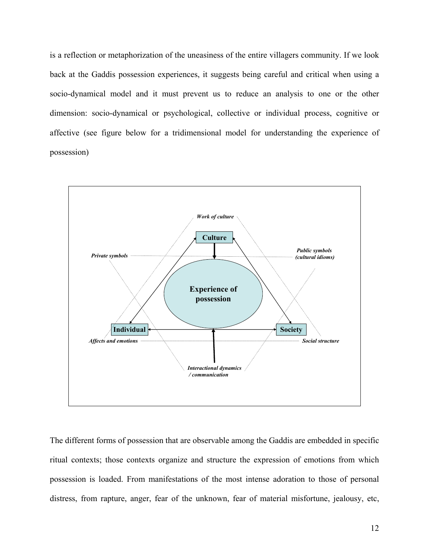is a reflection or metaphorization of the uneasiness of the entire villagers community. If we look back at the Gaddis possession experiences, it suggests being careful and critical when using a socio-dynamical model and it must prevent us to reduce an analysis to one or the other dimension: socio-dynamical or psychological, collective or individual process, cognitive or affective (see figure below for a tridimensional model for understanding the experience of possession)



The different forms of possession that are observable among the Gaddis are embedded in specific ritual contexts; those contexts organize and structure the expression of emotions from which possession is loaded. From manifestations of the most intense adoration to those of personal distress, from rapture, anger, fear of the unknown, fear of material misfortune, jealousy, etc,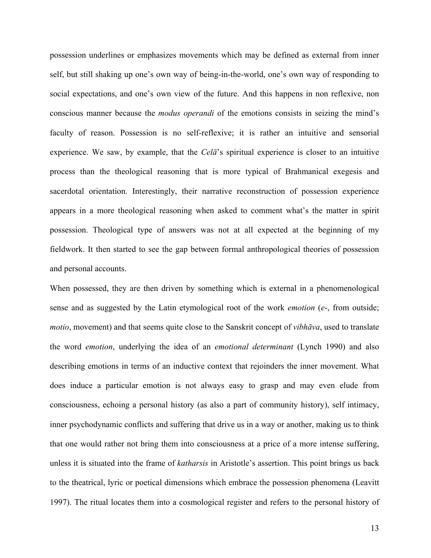possession underlines or emphasizes movements which may be defined as external from inner self, but still shaking up one's own way of being-in-the-world, one's own way of responding to social expectations, and one's own view of the future. And this happens in non reflexive, non conscious manner because the *modus operandi* of the emotions consists in seizing the mind's faculty of reason. Possession is no self-reflexive; it is rather an intuitive and sensorial experience. We saw, by example, that the Cela<sup>'</sup>s spiritual experience is closer to an intuitive process than the theological reasoning that is more typical of Brahmanical exegesis and sacerdotal orientation. Interestingly, their narrative reconstruction of possession experience appears in a more theological reasoning when asked to comment what's the matter in spirit possession. Theological type of answers was not at all expected at the beginning of my fieldwork. It then started to see the gap between formal anthropological theories of possession and personal accounts.

When possessed, they are then driven by something which is external in a phenomenological sense and as suggested by the Latin etymological root of the work *emotion* (e-, from outside; motio, movement) and that seems quite close to the Sanskrit concept of vibhāva, used to translate the word *emotion*, underlying the idea of an *emotional determinant* (Lynch 1990) and also describing emotions in terms of an inductive context that rejoinders the inner movement. What does induce a particular emotion is not always easy to grasp and may even elude from consciousness, echoing a personal history (as also a part of community history), self intimacy, inner psychodynamic conflicts and suffering that drive us in a way or another, making us to think that one would rather not bring them into consciousness at a price of a more intense suffering, unless it is situated into the frame of *katharsis* in Aristotle's assertion. This point brings us back to the theatrical, lyric or poetical dimensions which embrace the possession phenomena (Leavitt 1997). The ritual locates them into a cosmological register and refers to the personal history of

13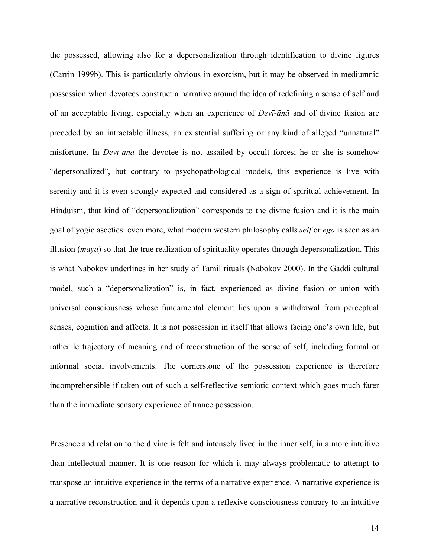the possessed, allowing also for a depersonalization through identification to divine figures (Carrin 1999b). This is particularly obvious in exorcism, but it may be observed in mediumnic possession when devotees construct a narrative around the idea of redefining a sense of self and of an acceptable living, especially when an experience of Devī-ānā and of divine fusion are preceded by an intractable illness, an existential suffering or any kind of alleged "unnatural" misfortune. In Devī-ānā the devotee is not assailed by occult forces; he or she is somehow "depersonalized", but contrary to psychopathological models, this experience is live with serenity and it is even strongly expected and considered as a sign of spiritual achievement. In Hinduism, that kind of "depersonalization" corresponds to the divine fusion and it is the main goal of yogic ascetics: even more, what modern western philosophy calls self or ego is seen as an illusion ( $m\bar{a}y\bar{a}$ ) so that the true realization of spirituality operates through depersonalization. This is what Nabokov underlines in her study of Tamil rituals (Nabokov 2000). In the Gaddi cultural model, such a "depersonalization" is, in fact, experienced as divine fusion or union with universal consciousness whose fundamental element lies upon a withdrawal from perceptual senses, cognition and affects. It is not possession in itself that allows facing one's own life, but rather le trajectory of meaning and of reconstruction of the sense of self, including formal or informal social involvements. The cornerstone of the possession experience is therefore incomprehensible if taken out of such a self-reflective semiotic context which goes much farer than the immediate sensory experience of trance possession.

Presence and relation to the divine is felt and intensely lived in the inner self, in a more intuitive than intellectual manner. It is one reason for which it may always problematic to attempt to transpose an intuitive experience in the terms of a narrative experience. A narrative experience is a narrative reconstruction and it depends upon a reflexive consciousness contrary to an intuitive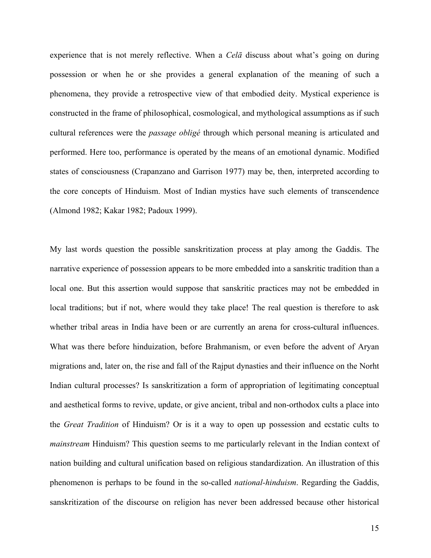experience that is not merely reflective. When a *Cela* discuss about what's going on during possession or when he or she provides a general explanation of the meaning of such a phenomena, they provide a retrospective view of that embodied deity. Mystical experience is constructed in the frame of philosophical, cosmological, and mythological assumptions as if such cultural references were the *passage obligé* through which personal meaning is articulated and performed. Here too, performance is operated by the means of an emotional dynamic. Modified states of consciousness (Crapanzano and Garrison 1977) may be, then, interpreted according to the core concepts of Hinduism. Most of Indian mystics have such elements of transcendence (Almond 1982; Kakar 1982; Padoux 1999).

My last words question the possible sanskritization process at play among the Gaddis. The narrative experience of possession appears to be more embedded into a sanskritic tradition than a local one. But this assertion would suppose that sanskritic practices may not be embedded in local traditions; but if not, where would they take place! The real question is therefore to ask whether tribal areas in India have been or are currently an arena for cross-cultural influences. What was there before hinduization, before Brahmanism, or even before the advent of Aryan migrations and, later on, the rise and fall of the Rajput dynasties and their influence on the Norht Indian cultural processes? Is sanskritization a form of appropriation of legitimating conceptual and aesthetical forms to revive, update, or give ancient, tribal and non-orthodox cults a place into the Great Tradition of Hinduism? Or is it a way to open up possession and ecstatic cults to mainstream Hinduism? This question seems to me particularly relevant in the Indian context of nation building and cultural unification based on religious standardization. An illustration of this phenomenon is perhaps to be found in the so-called national-hinduism. Regarding the Gaddis, sanskritization of the discourse on religion has never been addressed because other historical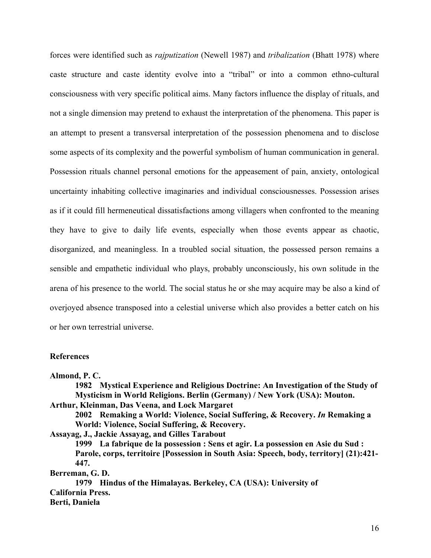forces were identified such as *rajputization* (Newell 1987) and *tribalization* (Bhatt 1978) where caste structure and caste identity evolve into a "tribal" or into a common ethno-cultural consciousness with very specific political aims. Many factors influence the display of rituals, and not a single dimension may pretend to exhaust the interpretation of the phenomena. This paper is an attempt to present a transversal interpretation of the possession phenomena and to disclose some aspects of its complexity and the powerful symbolism of human communication in general. Possession rituals channel personal emotions for the appeasement of pain, anxiety, ontological uncertainty inhabiting collective imaginaries and individual consciousnesses. Possession arises as if it could fill hermeneutical dissatisfactions among villagers when confronted to the meaning they have to give to daily life events, especially when those events appear as chaotic, disorganized, and meaningless. In a troubled social situation, the possessed person remains a sensible and empathetic individual who plays, probably unconsciously, his own solitude in the arena of his presence to the world. The social status he or she may acquire may be also a kind of overjoyed absence transposed into a celestial universe which also provides a better catch on his or her own terrestrial universe.

#### References

Almond, P. C.

 1982 Mystical Experience and Religious Doctrine: An Investigation of the Study of Mysticism in World Religions. Berlin (Germany) / New York (USA): Mouton. Arthur, Kleinman, Das Veena, and Lock Margaret 2002 Remaking a World: Violence, Social Suffering, & Recovery. In Remaking a

World: Violence, Social Suffering, & Recovery.

Assayag, J., Jackie Assayag, and Gilles Tarabout

 1999 La fabrique de la possession : Sens et agir. La possession en Asie du Sud : Parole, corps, territoire [Possession in South Asia: Speech, body, territory] (21):421- 447.

Berreman, G. D.

 1979 Hindus of the Himalayas. Berkeley, CA (USA): University of California Press. Berti, Daniela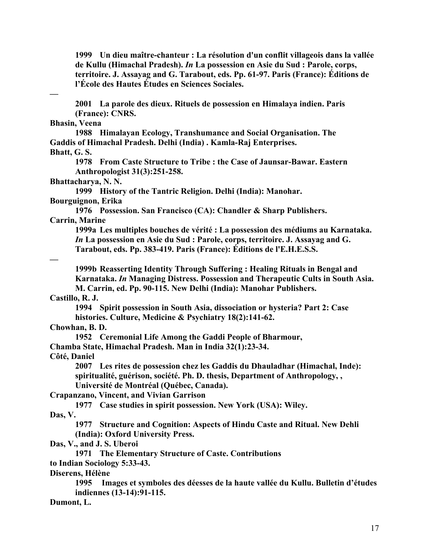1999 Un dieu maître-chanteur : La résolution d'un conflit villageois dans la vallée de Kullu (Himachal Pradesh). In La possession en Asie du Sud : Parole, corps, territoire. J. Assayag and G. Tarabout, eds. Pp. 61-97. Paris (France): Éditions de l'École des Hautes Études en Sciences Sociales.

—

 2001 La parole des dieux. Rituels de possession en Himalaya indien. Paris (France): CNRS.

### Bhasin, Veena

 1988 Himalayan Ecology, Transhumance and Social Organisation. The Gaddis of Himachal Pradesh. Delhi (India) . Kamla-Raj Enterprises. Bhatt, G. S.

 1978 From Caste Structure to Tribe : the Case of Jaunsar-Bawar. Eastern Anthropologist 31(3):251-258.

Bhattacharya, N. N.

 1999 History of the Tantric Religion. Delhi (India): Manohar. Bourguignon, Erika

 1976 Possession. San Francisco (CA): Chandler & Sharp Publishers. Carrin, Marine

 1999a Les multiples bouches de vérité : La possession des médiums au Karnataka. In La possession en Asie du Sud : Parole, corps, territoire. J. Assayag and G. Tarabout, eds. Pp. 383-419. Paris (France): Éditions de l'E.H.E.S.S.

—

 1999b Reasserting Identity Through Suffering : Healing Rituals in Bengal and Karnataka. In Managing Distress. Possession and Therapeutic Cults in South Asia. M. Carrin, ed. Pp. 90-115. New Delhi (India): Manohar Publishers.

# Castillo, R. J.

 1994 Spirit possession in South Asia, dissociation or hysteria? Part 2: Case histories. Culture, Medicine & Psychiatry 18(2):141-62.

# Chowhan, B. D.

1952 Ceremonial Life Among the Gaddi People of Bharmour,

Chamba State, Himachal Pradesh. Man in India 32(1):23-34.

Côté, Daniel

 2007 Les rites de possession chez les Gaddis du Dhauladhar (Himachal, Inde): spiritualité, guérison, société. Ph. D. thesis, Department of Anthropology, , Université de Montréal (Québec, Canada).

Crapanzano, Vincent, and Vivian Garrison

1977 Case studies in spirit possession. New York (USA): Wiley.

Das, V.

 1977 Structure and Cognition: Aspects of Hindu Caste and Ritual. New Dehli (India): Oxford University Press.

Das, V., and J. S. Uberoi

1971 The Elementary Structure of Caste. Contributions

to Indian Sociology 5:33-43.

Diserens, Hélène

 1995 Images et symboles des déesses de la haute vallée du Kullu. Bulletin d'études indiennes (13-14):91-115.

Dumont, L.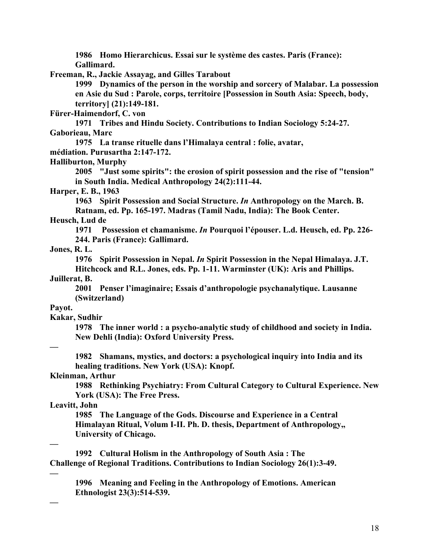1986 Homo Hierarchicus. Essai sur le système des castes. Paris (France): Gallimard.

Freeman, R., Jackie Assayag, and Gilles Tarabout

 1999 Dynamics of the person in the worship and sorcery of Malabar. La possession en Asie du Sud : Parole, corps, territoire [Possession in South Asia: Speech, body, territory] (21):149-181.

Fürer-Haimendorf, C. von

 1971 Tribes and Hindu Society. Contributions to Indian Sociology 5:24-27. Gaborieau, Marc

1975 La transe rituelle dans l'Himalaya central : folie, avatar,

médiation. Purusartha 2:147-172.

Halliburton, Murphy

 2005 "Just some spirits": the erosion of spirit possession and the rise of "tension" in South India. Medical Anthropology 24(2):111-44.

Harper, E. B., 1963

1963 Spirit Possession and Social Structure. In Anthropology on the March. B. Ratnam, ed. Pp. 165-197. Madras (Tamil Nadu, India): The Book Center.

# Heusch, Lud de

 1971 Possession et chamanisme. In Pourquoi l'épouser. L.d. Heusch, ed. Pp. 226- 244. Paris (France): Gallimard.

Jones, R. L.

 1976 Spirit Possession in Nepal. In Spirit Possession in the Nepal Himalaya. J.T. Hitchcock and R.L. Jones, eds. Pp. 1-11. Warminster (UK): Aris and Phillips.

Juillerat, B.

 2001 Penser l'imaginaire; Essais d'anthropologie psychanalytique. Lausanne (Switzerland)

# Payot.

# Kakar, Sudhir

 1978 The inner world : a psycho-analytic study of childhood and society in India. New Dehli (India): Oxford University Press.

—

 1982 Shamans, mystics, and doctors: a psychological inquiry into India and its healing traditions. New York (USA): Knopf.

Kleinman, Arthur

 1988 Rethinking Psychiatry: From Cultural Category to Cultural Experience. New York (USA): The Free Press.

# Leavitt, John

 1985 The Language of the Gods. Discourse and Experience in a Central Himalayan Ritual, Volum I-II. Ph. D. thesis, Department of Anthropology,, University of Chicago.

—

—

—

 1992 Cultural Holism in the Anthropology of South Asia : The Challenge of Regional Traditions. Contributions to Indian Sociology 26(1):3-49.

 1996 Meaning and Feeling in the Anthropology of Emotions. American Ethnologist 23(3):514-539.

18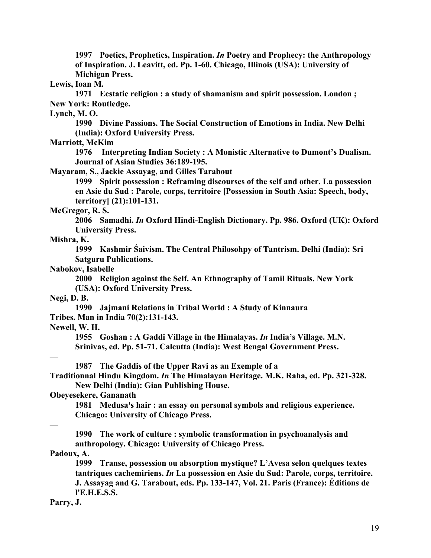1997 Poetics, Prophetics, Inspiration. In Poetry and Prophecy: the Anthropology of Inspiration. J. Leavitt, ed. Pp. 1-60. Chicago, Illinois (USA): University of Michigan Press.

#### Lewis, Ioan M.

 1971 Ecstatic religion : a study of shamanism and spirit possession. London ; New York: Routledge.

# Lynch, M. O.

 1990 Divine Passions. The Social Construction of Emotions in India. New Delhi (India): Oxford University Press.

# Marriott, McKim

 1976 Interpreting Indian Society : A Monistic Alternative to Dumont's Dualism. Journal of Asian Studies 36:189-195.

Mayaram, S., Jackie Assayag, and Gilles Tarabout

 1999 Spirit possession : Reframing discourses of the self and other. La possession en Asie du Sud : Parole, corps, territoire [Possession in South Asia: Speech, body, territory] (21):101-131.

# McGregor, R. S.

 2006 Samadhi. In Oxford Hindi-English Dictionary. Pp. 986. Oxford (UK): Oxford University Press.

#### Mishra, K.

 1999 Kashmir Śaivism. The Central Philosohpy of Tantrism. Delhi (India): Sri Satguru Publications.

#### Nabokov, Isabelle

 2000 Religion against the Self. An Ethnography of Tamil Rituals. New York (USA): Oxford University Press.

### Negi, D. B.

 1990 Jajmani Relations in Tribal World : A Study of Kinnaura Tribes. Man in India 70(2):131-143.

### Newell, W. H.

 1955 Goshan : A Gaddi Village in the Himalayas. In India's Village. M.N. Srinivas, ed. Pp. 51-71. Calcutta (India): West Bengal Government Press.

### —

1987 The Gaddis of the Upper Ravi as an Exemple of a

Traditionnal Hindu Kingdom. In The Himalayan Heritage. M.K. Raha, ed. Pp. 321-328. New Delhi (India): Gian Publishing House.

# Obeyesekere, Gananath

 1981 Medusa's hair : an essay on personal symbols and religious experience. Chicago: University of Chicago Press.

### —

 1990 The work of culture : symbolic transformation in psychoanalysis and anthropology. Chicago: University of Chicago Press.

# Padoux, A.

 1999 Transe, possession ou absorption mystique? L'Avesa selon quelques textes tantriques cachemiriens. In La possession en Asie du Sud: Parole, corps, territoire. J. Assayag and G. Tarabout, eds. Pp. 133-147, Vol. 21. Paris (France): Éditions de l'E.H.E.S.S.

#### Parry, J.